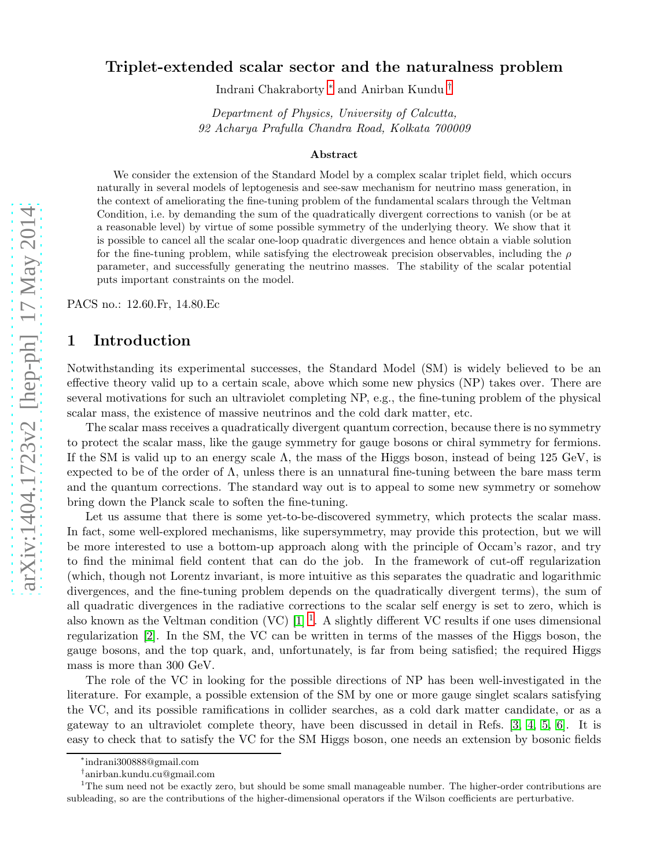# PACS no.: 12.60.Fr, 14.80.Ec 1 Introduction

### Notwithstanding its experimental successes, the Standard Model (SM) is widely believed to be an effective theory valid up to a certain scale, above which some new physics (NP) takes over. There are several motivations for such an ultraviolet completing NP, e.g., the fine-tuning problem of the physical scalar mass, the existence of massive neutrinos and the cold dark matter, etc.

The scalar mass receives a quadratically divergent quantum correction, because there is no symmetry to protect the scalar mass, like the gauge symmetry for gauge bosons or chiral symmetry for fermions. If the SM is valid up to an energy scale  $\Lambda$ , the mass of the Higgs boson, instead of being 125 GeV, is expected to be of the order of  $\Lambda$ , unless there is an unnatural fine-tuning between the bare mass term and the quantum corrections. The standard way out is to appeal to some new symmetry or somehow bring down the Planck scale to soften the fine-tuning.

Let us assume that there is some yet-to-be-discovered symmetry, which protects the scalar mass. In fact, some well-explored mechanisms, like supersymmetry, may provide this protection, but we will be more interested to use a bottom-up approach along with the principle of Occam's razor, and try to find the minimal field content that can do the job. In the framework of cut-off regularization (which, though not Lorentz invariant, is more intuitive as this separates the quadratic and logarithmic divergences, and the fine-tuning problem depends on the quadratically divergent terms), the sum of all quadratic divergences in the radiative corrections to the scalar self energy is set to zero, which is also known as the Veltman condition (VC)  $[1]$  $[1]$  $[1]$ <sup>1</sup>. A slightly different VC results if one uses dimensional regularization [\[2\]](#page-8-1). In the SM, the VC can be written in terms of the masses of the Higgs boson, the gauge bosons, and the top quark, and, unfortunately, is far from being satisfied; the required Higgs mass is more than 300 GeV.

The role of the VC in looking for the possible directions of NP has been well-investigated in the literature. For example, a possible extension of the SM by one or more gauge singlet scalars satisfying the VC, and its possible ramifications in collider searches, as a cold dark matter candidate, or as a gateway to an ultraviolet complete theory, have been discussed in detail in Refs. [\[3,](#page-8-2) [4,](#page-8-3) [5,](#page-9-0) [6\]](#page-9-1). It is easy to check that to satisfy the VC for the SM Higgs boson, one needs an extension by bosonic fields

Indrani Chakraborty [∗](#page-0-0) and Anirban Kundu [†](#page-0-1)

Department of Physics, University of Calcutta, 92 Acharya Prafulla Chandra Road, Kolkata 700009

### Abstract

We consider the extension of the Standard Model by a complex scalar triplet field, which occurs naturally in several models of leptogenesis and see-saw mechanism for neutrino mass generation, in the context of ameliorating the fine-tuning problem of the fundamental scalars through the Veltman Condition, i.e. by demanding the sum of the quadratically divergent corrections to vanish (or be at a reasonable level) by virtue of some possible symmetry of the underlying theory. We show that it is possible to cancel all the scalar one-loop quadratic divergences and hence obtain a viable solution for the fine-tuning problem, while satisfying the electroweak precision observables, including the  $\rho$ parameter, and successfully generating the neutrino masses. The stability of the scalar potential puts important constraints on the model.

<sup>∗</sup> indrani300888@gmail.com

<span id="page-0-1"></span><span id="page-0-0"></span><sup>†</sup> anirban.kundu.cu@gmail.com

<span id="page-0-2"></span> $1$ The sum need not be exactly zero, but should be some small manageable number. The higher-order contributions are subleading, so are the contributions of the higher-dimensional operators if the Wilson coefficients are perturbative.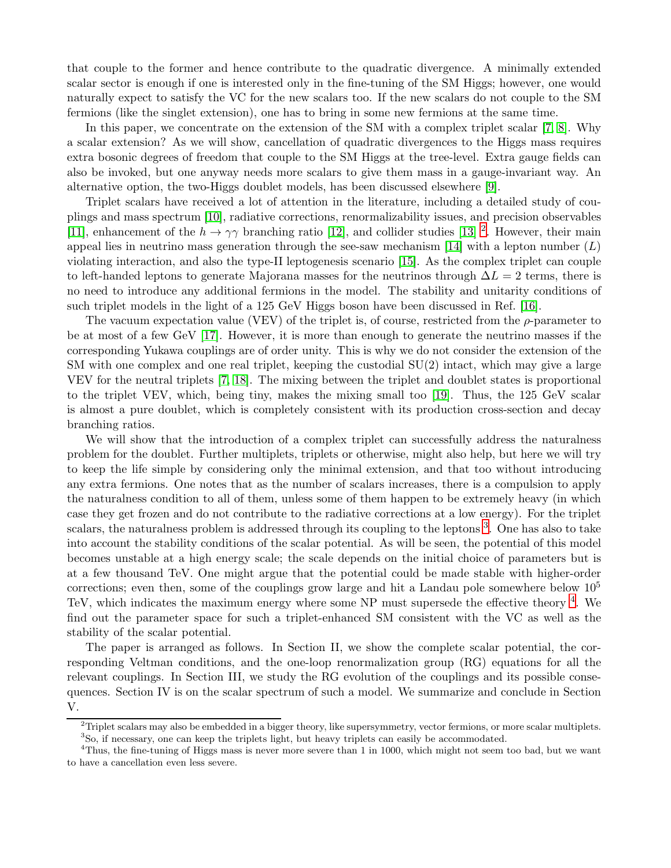that couple to the former and hence contribute to the quadratic divergence. A minimally extended scalar sector is enough if one is interested only in the fine-tuning of the SM Higgs; however, one would naturally expect to satisfy the VC for the new scalars too. If the new scalars do not couple to the SM fermions (like the singlet extension), one has to bring in some new fermions at the same time.

In this paper, we concentrate on the extension of the SM with a complex triplet scalar [\[7,](#page-9-2) [8\]](#page-9-3). Why a scalar extension? As we will show, cancellation of quadratic divergences to the Higgs mass requires extra bosonic degrees of freedom that couple to the SM Higgs at the tree-level. Extra gauge fields can also be invoked, but one anyway needs more scalars to give them mass in a gauge-invariant way. An alternative option, the two-Higgs doublet models, has been discussed elsewhere [\[9\]](#page-9-4).

Triplet scalars have received a lot of attention in the literature, including a detailed study of couplings and mass spectrum [\[10\]](#page-9-5), radiative corrections, renormalizability issues, and precision observables [\[11\]](#page-9-6), enhancement of the  $h \to \gamma\gamma$  branching ratio [\[12\]](#page-9-7), and collider studies [\[13\]](#page-9-8) <sup>[2](#page-1-0)</sup>. However, their main appeal lies in neutrino mass generation through the see-saw mechanism [\[14\]](#page-9-9) with a lepton number  $(L)$ violating interaction, and also the type-II leptogenesis scenario [\[15\]](#page-9-10). As the complex triplet can couple to left-handed leptons to generate Majorana masses for the neutrinos through  $\Delta L = 2$  terms, there is no need to introduce any additional fermions in the model. The stability and unitarity conditions of such triplet models in the light of a 125 GeV Higgs boson have been discussed in Ref. [\[16\]](#page-9-11).

The vacuum expectation value (VEV) of the triplet is, of course, restricted from the  $\rho$ -parameter to be at most of a few GeV [\[17\]](#page-9-12). However, it is more than enough to generate the neutrino masses if the corresponding Yukawa couplings are of order unity. This is why we do not consider the extension of the SM with one complex and one real triplet, keeping the custodial SU(2) intact, which may give a large VEV for the neutral triplets [\[7,](#page-9-2) [18\]](#page-10-0). The mixing between the triplet and doublet states is proportional to the triplet VEV, which, being tiny, makes the mixing small too [\[19\]](#page-10-1). Thus, the 125 GeV scalar is almost a pure doublet, which is completely consistent with its production cross-section and decay branching ratios.

We will show that the introduction of a complex triplet can successfully address the naturalness problem for the doublet. Further multiplets, triplets or otherwise, might also help, but here we will try to keep the life simple by considering only the minimal extension, and that too without introducing any extra fermions. One notes that as the number of scalars increases, there is a compulsion to apply the naturalness condition to all of them, unless some of them happen to be extremely heavy (in which case they get frozen and do not contribute to the radiative corrections at a low energy). For the triplet scalars, the naturalness problem is addressed through its coupling to the leptons <sup>[3](#page-1-1)</sup>. One has also to take into account the stability conditions of the scalar potential. As will be seen, the potential of this model becomes unstable at a high energy scale; the scale depends on the initial choice of parameters but is at a few thousand TeV. One might argue that the potential could be made stable with higher-order corrections; even then, some of the couplings grow large and hit a Landau pole somewhere below  $10^5$ TeV, which indicates the maximum energy where some NP must supersede the effective theory <sup>[4](#page-1-2)</sup>. We find out the parameter space for such a triplet-enhanced SM consistent with the VC as well as the stability of the scalar potential.

The paper is arranged as follows. In Section II, we show the complete scalar potential, the corresponding Veltman conditions, and the one-loop renormalization group (RG) equations for all the relevant couplings. In Section III, we study the RG evolution of the couplings and its possible consequences. Section IV is on the scalar spectrum of such a model. We summarize and conclude in Section V.

<span id="page-1-0"></span> $2$ Triplet scalars may also be embedded in a bigger theory, like supersymmetry, vector fermions, or more scalar multiplets. <sup>3</sup>So, if necessary, one can keep the triplets light, but heavy triplets can easily be accommodated.

<span id="page-1-2"></span><span id="page-1-1"></span> $4$ Thus, the fine-tuning of Higgs mass is never more severe than 1 in 1000, which might not seem too bad, but we want to have a cancellation even less severe.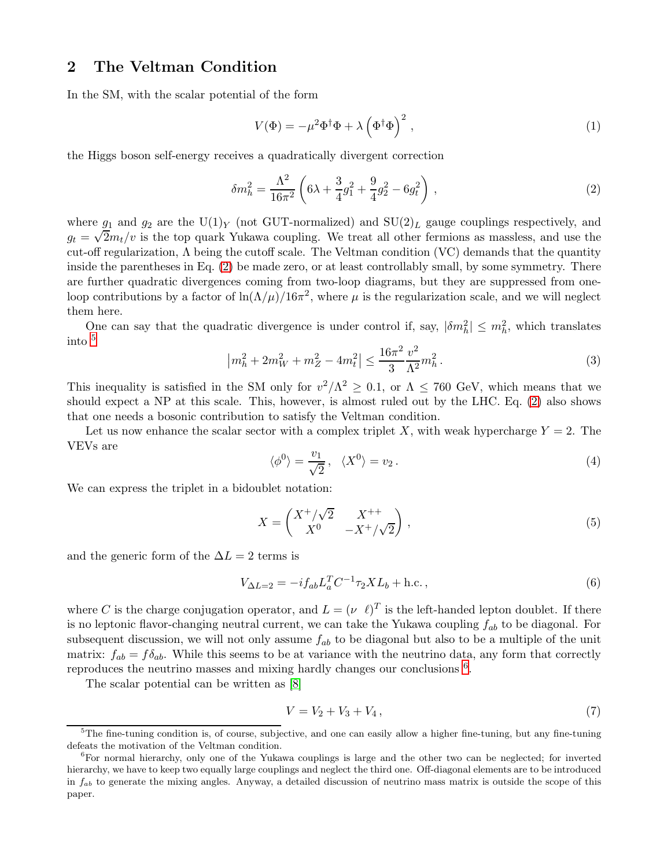# 2 The Veltman Condition

In the SM, with the scalar potential of the form

$$
V(\Phi) = -\mu^2 \Phi^{\dagger} \Phi + \lambda \left(\Phi^{\dagger} \Phi\right)^2, \qquad (1)
$$

the Higgs boson self-energy receives a quadratically divergent correction

<span id="page-2-0"></span>
$$
\delta m_h^2 = \frac{\Lambda^2}{16\pi^2} \left( 6\lambda + \frac{3}{4}g_1^2 + \frac{9}{4}g_2^2 - 6g_t^2 \right) , \qquad (2)
$$

where  $g_1$  and  $g_2$  are the U(1)<sub>Y</sub> (not GUT-normalized) and SU(2)<sub>L</sub> gauge couplings respectively, and  $g_t = \sqrt{2}m_t/v$  is the top quark Yukawa coupling. We treat all other fermions as massless, and use the cut-off regularization,  $\Lambda$  being the cutoff scale. The Veltman condition (VC) demands that the quantity inside the parentheses in Eq. [\(2\)](#page-2-0) be made zero, or at least controllably small, by some symmetry. There are further quadratic divergences coming from two-loop diagrams, but they are suppressed from oneloop contributions by a factor of  $\ln(\Lambda/\mu)/16\pi^2$ , where  $\mu$  is the regularization scale, and we will neglect them here.

One can say that the quadratic divergence is under control if, say,  $|\delta m_h^2| \leq m_h^2$ , which translates into [5](#page-2-1)

$$
\left| m_h^2 + 2m_W^2 + m_Z^2 - 4m_t^2 \right| \le \frac{16\pi^2}{3} \frac{v^2}{\Lambda^2} m_h^2 \,. \tag{3}
$$

This inequality is satisfied in the SM only for  $v^2/\Lambda^2 \geq 0.1$ , or  $\Lambda \leq 760$  GeV, which means that we should expect a NP at this scale. This, however, is almost ruled out by the LHC. Eq. [\(2\)](#page-2-0) also shows that one needs a bosonic contribution to satisfy the Veltman condition.

Let us now enhance the scalar sector with a complex triplet X, with weak hypercharge  $Y = 2$ . The VEVs are

$$
\langle \phi^0 \rangle = \frac{v_1}{\sqrt{2}}, \quad \langle X^0 \rangle = v_2. \tag{4}
$$

We can express the triplet in a bidoublet notation:

$$
X = \begin{pmatrix} X^+/\sqrt{2} & X^{++} \\ X^0 & -X^+/\sqrt{2} \end{pmatrix},
$$
 (5)

and the generic form of the  $\Delta L = 2$  terms is

$$
V_{\Delta L=2} = -i f_{ab} L_a^T C^{-1} \tau_2 X L_b + \text{h.c.} \,, \tag{6}
$$

where C is the charge conjugation operator, and  $L = (\nu \ell)^T$  is the left-handed lepton doublet. If there is no leptonic flavor-changing neutral current, we can take the Yukawa coupling  $f_{ab}$  to be diagonal. For subsequent discussion, we will not only assume  $f_{ab}$  to be diagonal but also to be a multiple of the unit matrix:  $f_{ab} = f \delta_{ab}$ . While this seems to be at variance with the neutrino data, any form that correctly reproduces the neutrino masses and mixing hardly changes our conclusions <sup>[6](#page-2-2)</sup>.

The scalar potential can be written as [\[8\]](#page-9-3)

$$
V = V_2 + V_3 + V_4, \t\t(7)
$$

<span id="page-2-1"></span><sup>&</sup>lt;sup>5</sup>The fine-tuning condition is, of course, subjective, and one can easily allow a higher fine-tuning, but any fine-tuning defeats the motivation of the Veltman condition.

<span id="page-2-2"></span><sup>6</sup>For normal hierarchy, only one of the Yukawa couplings is large and the other two can be neglected; for inverted hierarchy, we have to keep two equally large couplings and neglect the third one. Off-diagonal elements are to be introduced in  $f_{ab}$  to generate the mixing angles. Anyway, a detailed discussion of neutrino mass matrix is outside the scope of this paper.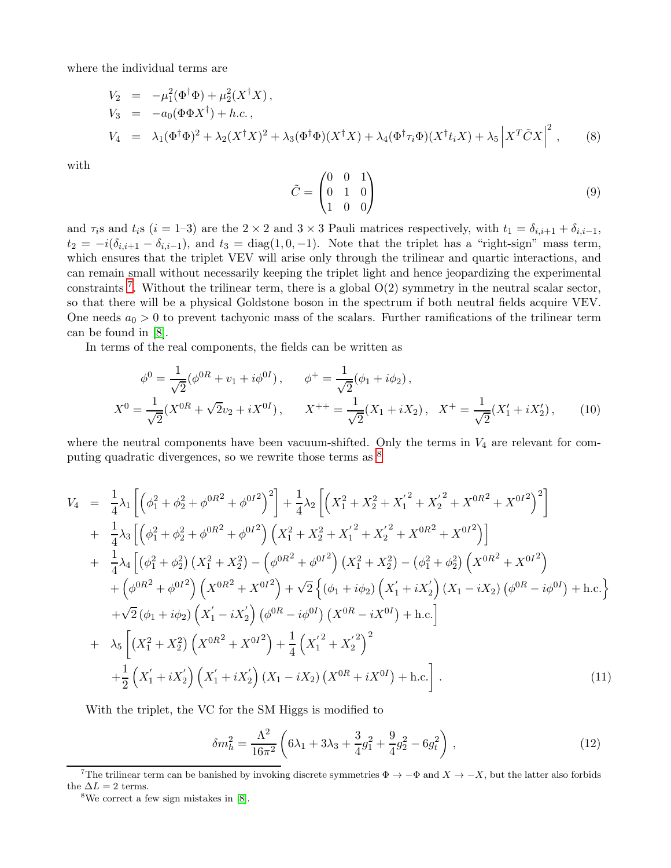where the individual terms are

<span id="page-3-3"></span>
$$
V_2 = -\mu_1^2(\Phi^\dagger \Phi) + \mu_2^2(X^\dagger X),
$$
  
\n
$$
V_3 = -a_0(\Phi \Phi X^\dagger) + h.c.,
$$
  
\n
$$
V_4 = \lambda_1(\Phi^\dagger \Phi)^2 + \lambda_2(X^\dagger X)^2 + \lambda_3(\Phi^\dagger \Phi)(X^\dagger X) + \lambda_4(\Phi^\dagger \tau_i \Phi)(X^\dagger t_i X) + \lambda_5 |X^T \tilde{C} X|^2,
$$
\n(8)

with

$$
\tilde{C} = \begin{pmatrix} 0 & 0 & 1 \\ 0 & 1 & 0 \\ 1 & 0 & 0 \end{pmatrix} \tag{9}
$$

and  $\tau_i$ s and  $t_i$ s (i = 1–3) are the 2 × 2 and 3 × 3 Pauli matrices respectively, with  $t_1 = \delta_{i,i+1} + \delta_{i,i-1}$ ,  $t_2 = -i(\delta_{i,i+1} - \delta_{i,i-1}),$  and  $t_3 = \text{diag}(1,0,-1)$ . Note that the triplet has a "right-sign" mass term, which ensures that the triplet VEV will arise only through the trilinear and quartic interactions, and can remain small without necessarily keeping the triplet light and hence jeopardizing the experimental constraints<sup>[7](#page-3-0)</sup>. Without the trilinear term, there is a global  $O(2)$  symmetry in the neutral scalar sector, so that there will be a physical Goldstone boson in the spectrum if both neutral fields acquire VEV. One needs  $a_0 > 0$  to prevent tachyonic mass of the scalars. Further ramifications of the trilinear term can be found in [\[8\]](#page-9-3).

In terms of the real components, the fields can be written as

$$
\phi^0 = \frac{1}{\sqrt{2}} (\phi^{0R} + v_1 + i\phi^{0I}), \qquad \phi^+ = \frac{1}{\sqrt{2}} (\phi_1 + i\phi_2),
$$
  

$$
X^0 = \frac{1}{\sqrt{2}} (X^{0R} + \sqrt{2}v_2 + iX^{0I}), \qquad X^{++} = \frac{1}{\sqrt{2}} (X_1 + iX_2), \qquad X^+ = \frac{1}{\sqrt{2}} (X_1' + iX_2'), \qquad (10)
$$

where the neutral components have been vacuum-shifted. Only the terms in  $V_4$  are relevant for computing quadratic divergences, so we rewrite those terms as [8](#page-3-1)

$$
V_{4} = \frac{1}{4}\lambda_{1}\left[\left(\phi_{1}^{2} + \phi_{2}^{2} + \phi^{0R^{2}} + \phi^{0I^{2}}\right)^{2}\right] + \frac{1}{4}\lambda_{2}\left[\left(X_{1}^{2} + X_{2}^{2} + X_{1}^{'2} + X_{2}^{'2} + X^{0R^{2}} + X^{0I^{2}}\right)^{2}\right] + \frac{1}{4}\lambda_{3}\left[\left(\phi_{1}^{2} + \phi_{2}^{2} + \phi^{0R^{2}} + \phi^{0I^{2}}\right)\left(X_{1}^{2} + X_{2}^{2} + X_{1}^{'2} + X^{0R^{2}} + X^{0I^{2}}\right)\right] + \frac{1}{4}\lambda_{4}\left[\left(\phi_{1}^{2} + \phi_{2}^{2}\right)\left(X_{1}^{2} + X_{2}^{2}\right) - \left(\phi^{0R^{2}} + \phi^{0I^{2}}\right)\left(X_{1}^{2} + X_{2}^{2}\right) - \left(\phi_{1}^{2} + \phi_{2}^{2}\right)\left(X^{0R^{2}} + X^{0I^{2}}\right) + \left(\phi^{0R^{2}} + \phi^{0I^{2}}\right)\left(X^{0R^{2}} + X^{0I^{2}}\right) + \sqrt{2}\left\{\left(\phi_{1} + i\phi_{2}\right)\left(X_{1}^{'} + iX_{2}^{'}\right)\left(X_{1} - iX_{2}\right)\left(\phi^{0R} - i\phi^{0I}\right) + \text{h.c.}\right\} + \sqrt{2}\left(\phi_{1} + i\phi_{2}\right)\left(X_{1}^{'} - iX_{2}^{'}\right)\left(\phi^{0R} - i\phi^{0I}\right)\left(X^{0R} - iX^{0I}\right) + \text{h.c.}\right] + \lambda_{5}\left[\left(X_{1}^{2} + X_{2}^{2}\right)\left(X^{0R^{2}} + X^{0I^{2}}\right) + \frac{1}{4}\left(X_{1}^{'2} + X_{2}^{'2}\right)^{2} + \frac{1}{2}\left(X_{1}^{'} + iX_{2}^{'}\right)\left(X_{1}^{'} + iX_{2}^{'}\right)\left(X_{1} - iX_{2}\right)\left(X^{0R} + iX^{0I}\right) + \text{h.c.}\right].
$$
\n(11)

With the triplet, the VC for the SM Higgs is modified to

<span id="page-3-2"></span>
$$
\delta m_h^2 = \frac{\Lambda^2}{16\pi^2} \left( 6\lambda_1 + 3\lambda_3 + \frac{3}{4}g_1^2 + \frac{9}{4}g_2^2 - 6g_t^2 \right) ,\qquad (12)
$$

<sup>&</sup>lt;sup>7</sup>The trilinear term can be banished by invoking discrete symmetries  $\Phi \to -\Phi$  and  $X \to -X$ , but the latter also forbids the  $\Delta L = 2$  terms.

<span id="page-3-1"></span><span id="page-3-0"></span><sup>8</sup>We correct a few sign mistakes in [\[8\]](#page-9-3).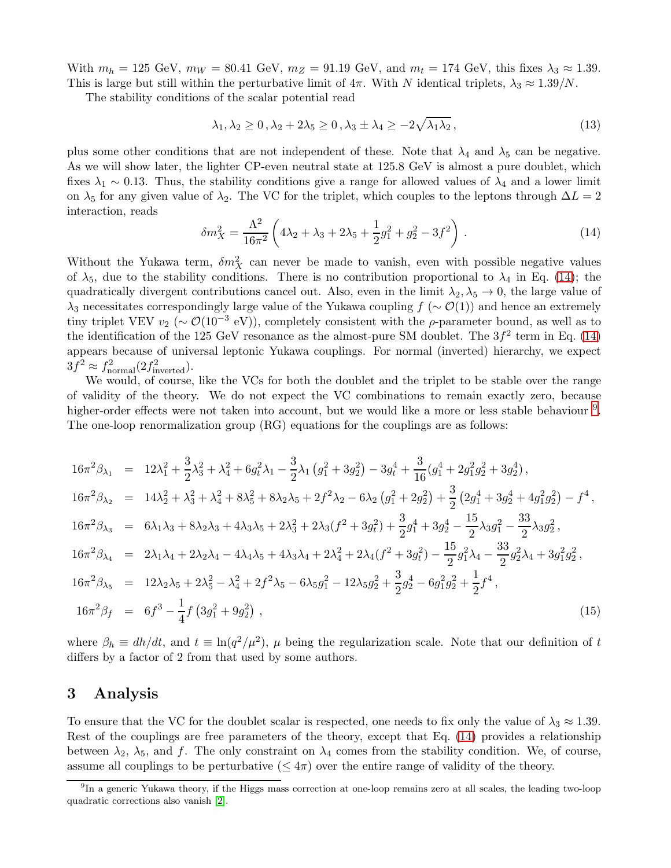With  $m_h = 125 \text{ GeV}, m_W = 80.41 \text{ GeV}, m_Z = 91.19 \text{ GeV}, \text{ and } m_t = 174 \text{ GeV}, \text{ this fixes } \lambda_3 \approx 1.39.$ This is large but still within the perturbative limit of  $4\pi$ . With N identical triplets,  $\lambda_3 \approx 1.39/N$ .

The stability conditions of the scalar potential read

$$
\lambda_1, \lambda_2 \ge 0, \lambda_2 + 2\lambda_5 \ge 0, \lambda_3 \pm \lambda_4 \ge -2\sqrt{\lambda_1 \lambda_2}, \tag{13}
$$

plus some other conditions that are not independent of these. Note that  $\lambda_4$  and  $\lambda_5$  can be negative. As we will show later, the lighter CP-even neutral state at 125.8 GeV is almost a pure doublet, which fixes  $\lambda_1 \sim 0.13$ . Thus, the stability conditions give a range for allowed values of  $\lambda_4$  and a lower limit on  $\lambda_5$  for any given value of  $\lambda_2$ . The VC for the triplet, which couples to the leptons through  $\Delta L = 2$ interaction, reads

<span id="page-4-0"></span>
$$
\delta m_X^2 = \frac{\Lambda^2}{16\pi^2} \left( 4\lambda_2 + \lambda_3 + 2\lambda_5 + \frac{1}{2}g_1^2 + g_2^2 - 3f^2 \right) . \tag{14}
$$

Without the Yukawa term,  $\delta m_X^2$  can never be made to vanish, even with possible negative values of  $\lambda_5$ , due to the stability conditions. There is no contribution proportional to  $\lambda_4$  in Eq. [\(14\)](#page-4-0); the quadratically divergent contributions cancel out. Also, even in the limit  $\lambda_2, \lambda_5 \to 0$ , the large value of  $\lambda_3$  necessitates correspondingly large value of the Yukawa coupling  $f(\sim \mathcal{O}(1))$  and hence an extremely tiny triplet VEV  $v_2$  (~  $\mathcal{O}(10^{-3} \text{ eV})$ ), completely consistent with the  $\rho$ -parameter bound, as well as to the identification of the 125 GeV resonance as the almost-pure SM doublet. The  $3f<sup>2</sup>$  term in Eq. [\(14\)](#page-4-0) appears because of universal leptonic Yukawa couplings. For normal (inverted) hierarchy, we expect  $3f^2 \approx f_{\text{normal}}^2(2f_{\text{inverted}}^2).$ 

We would, of course, like the VCs for both the doublet and the triplet to be stable over the range of validity of the theory. We do not expect the VC combinations to remain exactly zero, because higher-order effects were not taken into account, but we would like a more or less stable behaviour <sup>[9](#page-4-1)</sup>. The one-loop renormalization group (RG) equations for the couplings are as follows:

$$
16\pi^{2}\beta_{\lambda_{1}} = 12\lambda_{1}^{2} + \frac{3}{2}\lambda_{3}^{2} + \lambda_{4}^{2} + 6g_{t}^{2}\lambda_{1} - \frac{3}{2}\lambda_{1}\left(g_{1}^{2} + 3g_{2}^{2}\right) - 3g_{t}^{4} + \frac{3}{16}(g_{1}^{4} + 2g_{1}^{2}g_{2}^{2} + 3g_{2}^{4}),
$$
\n
$$
16\pi^{2}\beta_{\lambda_{2}} = 14\lambda_{2}^{2} + \lambda_{3}^{2} + \lambda_{4}^{2} + 8\lambda_{5}^{2} + 8\lambda_{2}\lambda_{5} + 2f^{2}\lambda_{2} - 6\lambda_{2}\left(g_{1}^{2} + 2g_{2}^{2}\right) + \frac{3}{2}\left(2g_{1}^{4} + 3g_{2}^{4} + 4g_{1}^{2}g_{2}^{2}\right) - f^{4},
$$
\n
$$
16\pi^{2}\beta_{\lambda_{3}} = 6\lambda_{1}\lambda_{3} + 8\lambda_{2}\lambda_{3} + 4\lambda_{3}\lambda_{5} + 2\lambda_{3}^{2} + 2\lambda_{3}(f^{2} + 3g_{t}^{2}) + \frac{3}{2}g_{1}^{4} + 3g_{2}^{4} - \frac{15}{2}\lambda_{3}g_{1}^{2} - \frac{33}{2}\lambda_{3}g_{2}^{2},
$$
\n
$$
16\pi^{2}\beta_{\lambda_{4}} = 2\lambda_{1}\lambda_{4} + 2\lambda_{2}\lambda_{4} - 4\lambda_{4}\lambda_{5} + 4\lambda_{3}\lambda_{4} + 2\lambda_{4}^{2} + 2\lambda_{4}(f^{2} + 3g_{t}^{2}) - \frac{15}{2}g_{1}^{2}\lambda_{4} - \frac{33}{2}g_{2}^{2}\lambda_{4} + 3g_{1}^{2}g_{2}^{2},
$$
\n
$$
16\pi^{2}\beta_{\lambda_{5}} = 12\lambda_{2}\lambda_{5} + 2\lambda_{5}^{2} - \lambda_{4}^{2} + 2f^{2}\lambda_{5} - 6\lambda_{5}g_{1}^{2} - 12\lambda_{5}g_{2}^{2} + \frac{3}{2}g_{2}^{4} - 6g_{1}^{
$$

where  $\beta_h \equiv dh/dt$ , and  $t \equiv \ln(q^2/\mu^2)$ ,  $\mu$  being the regularization scale. Note that our definition of t differs by a factor of 2 from that used by some authors.

### 3 Analysis

To ensure that the VC for the doublet scalar is respected, one needs to fix only the value of  $\lambda_3 \approx 1.39$ . Rest of the couplings are free parameters of the theory, except that Eq. [\(14\)](#page-4-0) provides a relationship between  $\lambda_2$ ,  $\lambda_5$ , and f. The only constraint on  $\lambda_4$  comes from the stability condition. We, of course, assume all couplings to be perturbative  $(\leq 4\pi)$  over the entire range of validity of the theory.

<span id="page-4-1"></span><sup>&</sup>lt;sup>9</sup>In a generic Yukawa theory, if the Higgs mass correction at one-loop remains zero at all scales, the leading two-loop quadratic corrections also vanish [\[2\]](#page-8-1).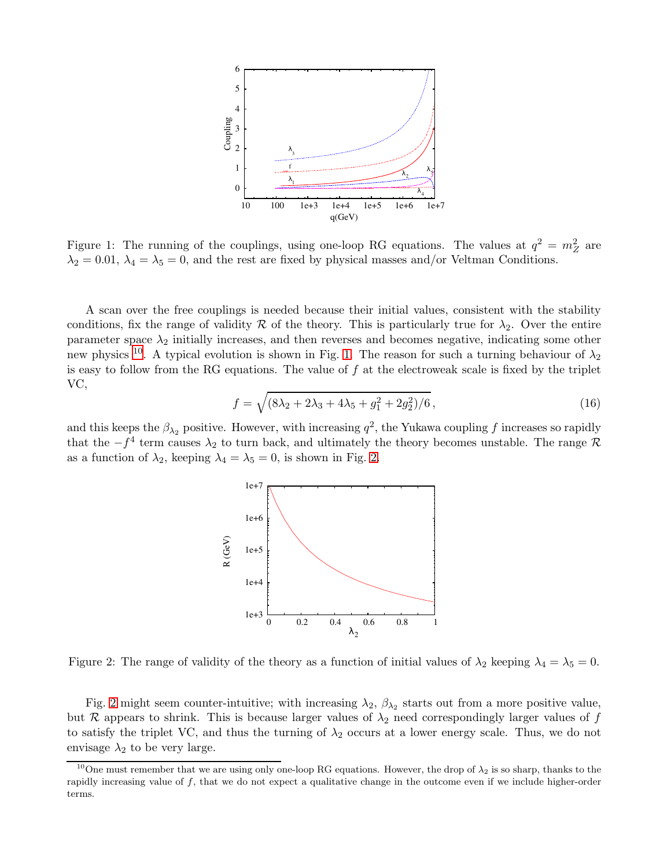

<span id="page-5-1"></span>Figure 1: The running of the couplings, using one-loop RG equations. The values at  $q^2 = m_Z^2$  are  $\lambda_2 = 0.01$ ,  $\lambda_4 = \lambda_5 = 0$ , and the rest are fixed by physical masses and/or Veltman Conditions.

A scan over the free couplings is needed because their initial values, consistent with the stability conditions, fix the range of validity R of the theory. This is particularly true for  $\lambda_2$ . Over the entire parameter space  $\lambda_2$  initially increases, and then reverses and becomes negative, indicating some other new physics <sup>[10](#page-5-0)</sup>. A typical evolution is shown in Fig. [1.](#page-5-1) The reason for such a turning behaviour of  $\lambda_2$ is easy to follow from the RG equations. The value of  $f$  at the electroweak scale is fixed by the triplet VC,

$$
f = \sqrt{(8\lambda_2 + 2\lambda_3 + 4\lambda_5 + g_1^2 + 2g_2^2)/6},\tag{16}
$$

and this keeps the  $\beta_{\lambda_2}$  positive. However, with increasing  $q^2$ , the Yukawa coupling f increases so rapidly that the  $-f^4$  term causes  $\lambda_2$  to turn back, and ultimately the theory becomes unstable. The range R as a function of  $\lambda_2$ , keeping  $\lambda_4 = \lambda_5 = 0$ , is shown in Fig. [2.](#page-5-2)



<span id="page-5-2"></span>Figure 2: The range of validity of the theory as a function of initial values of  $\lambda_2$  keeping  $\lambda_4 = \lambda_5 = 0$ .

Fig. [2](#page-5-2) might seem counter-intuitive; with increasing  $\lambda_2$ ,  $\beta_{\lambda_2}$  starts out from a more positive value, but R appears to shrink. This is because larger values of  $\lambda_2$  need correspondingly larger values of f to satisfy the triplet VC, and thus the turning of  $\lambda_2$  occurs at a lower energy scale. Thus, we do not envisage  $\lambda_2$  to be very large.

<span id="page-5-0"></span><sup>&</sup>lt;sup>10</sup>One must remember that we are using only one-loop RG equations. However, the drop of  $\lambda_2$  is so sharp, thanks to the rapidly increasing value of f, that we do not expect a qualitative change in the outcome even if we include higher-order terms.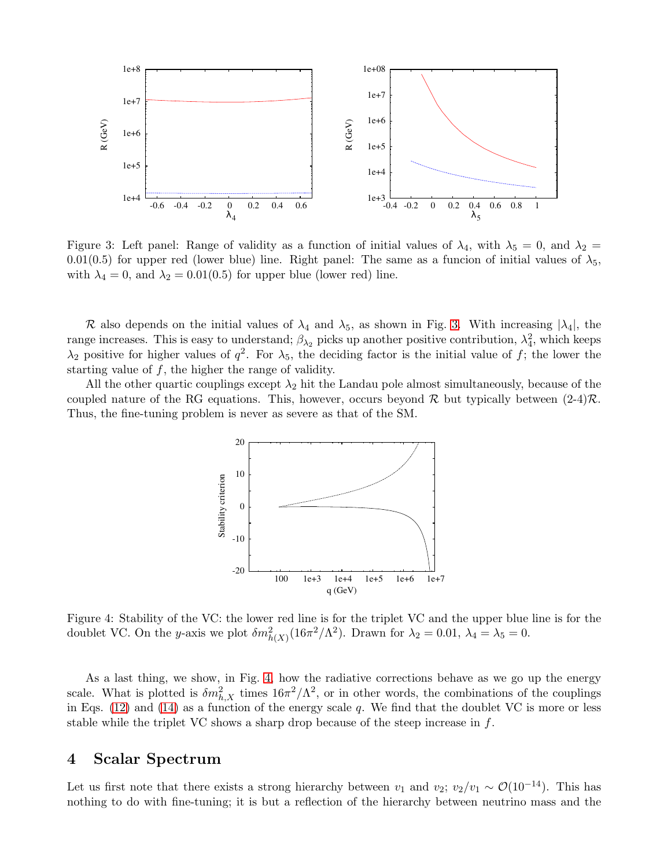

<span id="page-6-0"></span>Figure 3: Left panel: Range of validity as a function of initial values of  $\lambda_4$ , with  $\lambda_5 = 0$ , and  $\lambda_2 =$ 0.01(0.5) for upper red (lower blue) line. Right panel: The same as a funcion of initial values of  $\lambda_5$ , with  $\lambda_4 = 0$ , and  $\lambda_2 = 0.01(0.5)$  for upper blue (lower red) line.

R also depends on the initial values of  $\lambda_4$  and  $\lambda_5$ , as shown in Fig. [3.](#page-6-0) With increasing  $|\lambda_4|$ , the range increases. This is easy to understand;  $\beta_{\lambda_2}$  picks up another positive contribution,  $\lambda_4^2$ , which keeps  $\lambda_2$  positive for higher values of  $q^2$ . For  $\lambda_5$ , the deciding factor is the initial value of f; the lower the starting value of f, the higher the range of validity.

All the other quartic couplings except  $\lambda_2$  hit the Landau pole almost simultaneously, because of the coupled nature of the RG equations. This, however, occurs beyond R but typically between  $(2-4)\mathcal{R}$ . Thus, the fine-tuning problem is never as severe as that of the SM.



<span id="page-6-1"></span>Figure 4: Stability of the VC: the lower red line is for the triplet VC and the upper blue line is for the doublet VC. On the y-axis we plot  $\delta m_{h(X)}^2 (16\pi^2/\Lambda^2)$ . Drawn for  $\lambda_2 = 0.01$ ,  $\lambda_4 = \lambda_5 = 0$ .

As a last thing, we show, in Fig. [4,](#page-6-1) how the radiative corrections behave as we go up the energy scale. What is plotted is  $\delta m_{h,X}^2$  times  $16\pi^2/\Lambda^2$ , or in other words, the combinations of the couplings in Eqs. [\(12\)](#page-3-2) and [\(14\)](#page-4-0) as a function of the energy scale q. We find that the doublet VC is more or less stable while the triplet VC shows a sharp drop because of the steep increase in  $f$ .

### 4 Scalar Spectrum

Let us first note that there exists a strong hierarchy between  $v_1$  and  $v_2$ ;  $v_2/v_1 \sim \mathcal{O}(10^{-14})$ . This has nothing to do with fine-tuning; it is but a reflection of the hierarchy between neutrino mass and the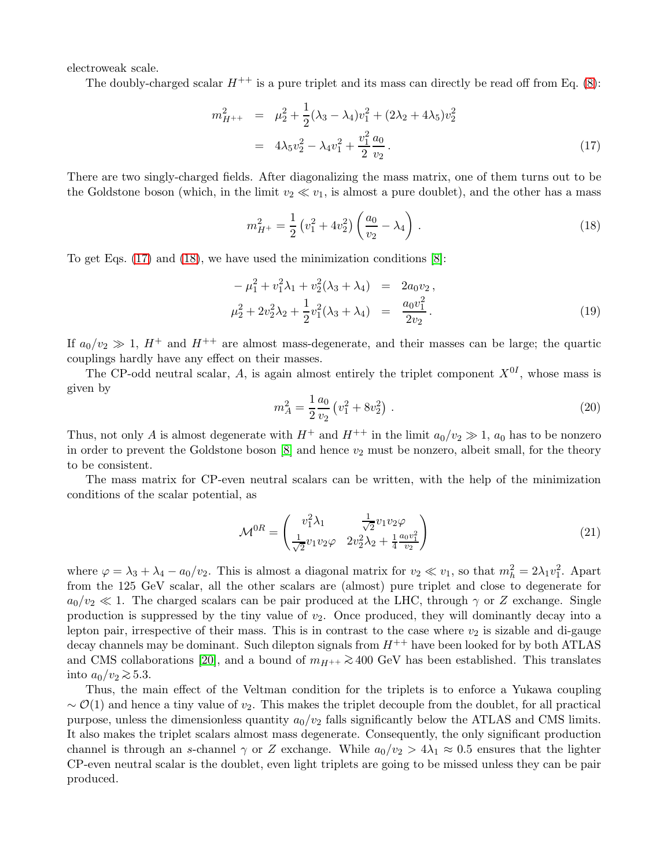electroweak scale.

The doubly-charged scalar  $H^{++}$  is a pure triplet and its mass can directly be read off from Eq. [\(8\)](#page-3-3):

<span id="page-7-0"></span>
$$
m_{H^{++}}^2 = \mu_2^2 + \frac{1}{2}(\lambda_3 - \lambda_4)v_1^2 + (2\lambda_2 + 4\lambda_5)v_2^2
$$
  
=  $4\lambda_5 v_2^2 - \lambda_4 v_1^2 + \frac{v_1^2}{2} \frac{a_0}{v_2}$ . (17)

There are two singly-charged fields. After diagonalizing the mass matrix, one of them turns out to be the Goldstone boson (which, in the limit  $v_2 \ll v_1$ , is almost a pure doublet), and the other has a mass

<span id="page-7-1"></span>
$$
m_{H^{+}}^{2} = \frac{1}{2} \left( v_{1}^{2} + 4v_{2}^{2} \right) \left( \frac{a_{0}}{v_{2}} - \lambda_{4} \right) . \tag{18}
$$

To get Eqs. [\(17\)](#page-7-0) and [\(18\)](#page-7-1), we have used the minimization conditions [\[8\]](#page-9-3):

$$
-\mu_1^2 + v_1^2 \lambda_1 + v_2^2 (\lambda_3 + \lambda_4) = 2a_0 v_2 ,
$$
  

$$
\mu_2^2 + 2v_2^2 \lambda_2 + \frac{1}{2} v_1^2 (\lambda_3 + \lambda_4) = \frac{a_0 v_1^2}{2v_2}.
$$
 (19)

If  $a_0/v_2 \gg 1$ ,  $H^+$  and  $H^{++}$  are almost mass-degenerate, and their masses can be large; the quartic couplings hardly have any effect on their masses.

The CP-odd neutral scalar, A, is again almost entirely the triplet component  $X^{0I}$ , whose mass is given by

$$
m_A^2 = \frac{1}{2} \frac{a_0}{v_2} \left( v_1^2 + 8v_2^2 \right) \,. \tag{20}
$$

Thus, not only A is almost degenerate with  $H^+$  and  $H^{++}$  in the limit  $a_0/v_2 \gg 1$ ,  $a_0$  has to be nonzero in order to prevent the Goldstone boson  $[8]$  and hence  $v_2$  must be nonzero, albeit small, for the theory to be consistent.

The mass matrix for CP-even neutral scalars can be written, with the help of the minimization conditions of the scalar potential, as

$$
\mathcal{M}^{0R} = \begin{pmatrix} v_1^2 \lambda_1 & \frac{1}{\sqrt{2}} v_1 v_2 \varphi \\ \frac{1}{\sqrt{2}} v_1 v_2 \varphi & 2v_2^2 \lambda_2 + \frac{1}{4} \frac{a_0 v_1^2}{v_2} \end{pmatrix}
$$
(21)

where  $\varphi = \lambda_3 + \lambda_4 - a_0/v_2$ . This is almost a diagonal matrix for  $v_2 \ll v_1$ , so that  $m_h^2 = 2\lambda_1 v_1^2$ . Apart from the 125 GeV scalar, all the other scalars are (almost) pure triplet and close to degenerate for  $a_0/v_2 \ll 1$ . The charged scalars can be pair produced at the LHC, through  $\gamma$  or Z exchange. Single production is suppressed by the tiny value of  $v_2$ . Once produced, they will dominantly decay into a lepton pair, irrespective of their mass. This is in contrast to the case where  $v_2$  is sizable and di-gauge decay channels may be dominant. Such dilepton signals from  $H^{++}$  have been looked for by both ATLAS and CMS collaborations [\[20\]](#page-10-2), and a bound of  $m_{H^{++}} \geq 400$  GeV has been established. This translates into  $a_0/v_2 \gtrsim 5.3$ .

Thus, the main effect of the Veltman condition for the triplets is to enforce a Yukawa coupling  $\sim \mathcal{O}(1)$  and hence a tiny value of v<sub>2</sub>. This makes the triplet decouple from the doublet, for all practical purpose, unless the dimensionless quantity  $a_0/v_2$  falls significantly below the ATLAS and CMS limits. It also makes the triplet scalars almost mass degenerate. Consequently, the only significant production channel is through an s-channel  $\gamma$  or Z exchange. While  $a_0/v_2 > 4\lambda_1 \approx 0.5$  ensures that the lighter CP-even neutral scalar is the doublet, even light triplets are going to be missed unless they can be pair produced.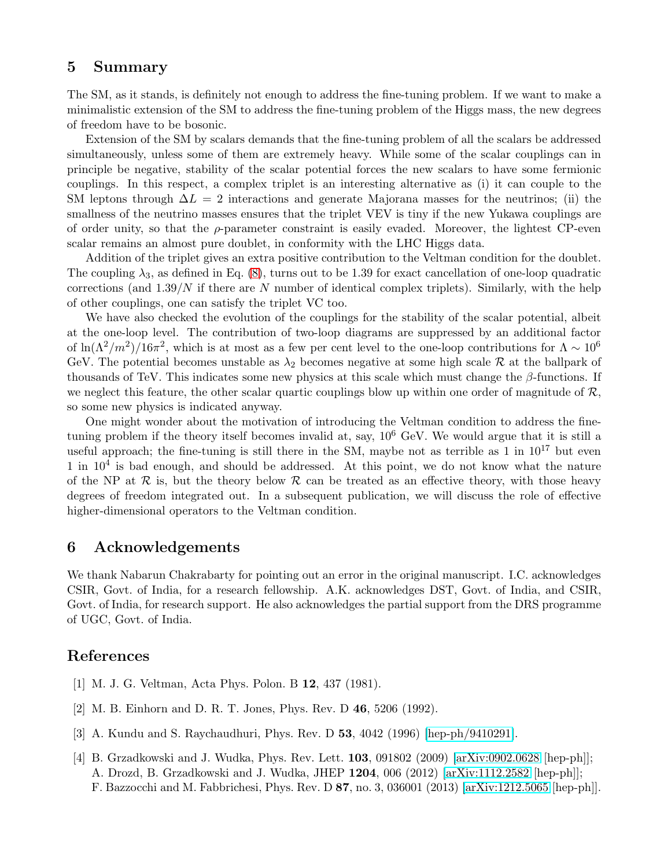## 5 Summary

The SM, as it stands, is definitely not enough to address the fine-tuning problem. If we want to make a minimalistic extension of the SM to address the fine-tuning problem of the Higgs mass, the new degrees of freedom have to be bosonic.

Extension of the SM by scalars demands that the fine-tuning problem of all the scalars be addressed simultaneously, unless some of them are extremely heavy. While some of the scalar couplings can in principle be negative, stability of the scalar potential forces the new scalars to have some fermionic couplings. In this respect, a complex triplet is an interesting alternative as (i) it can couple to the SM leptons through  $\Delta L = 2$  interactions and generate Majorana masses for the neutrinos; (ii) the smallness of the neutrino masses ensures that the triplet VEV is tiny if the new Yukawa couplings are of order unity, so that the  $\rho$ -parameter constraint is easily evaded. Moreover, the lightest CP-even scalar remains an almost pure doublet, in conformity with the LHC Higgs data.

Addition of the triplet gives an extra positive contribution to the Veltman condition for the doublet. The coupling  $\lambda_3$ , as defined in Eq. [\(8\)](#page-3-3), turns out to be 1.39 for exact cancellation of one-loop quadratic corrections (and  $1.39/N$  if there are N number of identical complex triplets). Similarly, with the help of other couplings, one can satisfy the triplet VC too.

We have also checked the evolution of the couplings for the stability of the scalar potential, albeit at the one-loop level. The contribution of two-loop diagrams are suppressed by an additional factor of  $\ln(\Lambda^2/m^2)/16\pi^2$ , which is at most as a few per cent level to the one-loop contributions for  $\Lambda \sim 10^6$ GeV. The potential becomes unstable as  $\lambda_2$  becomes negative at some high scale  $\mathcal R$  at the ballpark of thousands of TeV. This indicates some new physics at this scale which must change the  $\beta$ -functions. If we neglect this feature, the other scalar quartic couplings blow up within one order of magnitude of  $\mathcal{R}$ , so some new physics is indicated anyway.

One might wonder about the motivation of introducing the Veltman condition to address the finetuning problem if the theory itself becomes invalid at, say,  $10^6$  GeV. We would argue that it is still a useful approach; the fine-tuning is still there in the SM, maybe not as terrible as  $1$  in  $10^{17}$  but even 1 in  $10<sup>4</sup>$  is bad enough, and should be addressed. At this point, we do not know what the nature of the NP at  $\mathcal R$  is, but the theory below  $\mathcal R$  can be treated as an effective theory, with those heavy degrees of freedom integrated out. In a subsequent publication, we will discuss the role of effective higher-dimensional operators to the Veltman condition.

### 6 Acknowledgements

We thank Nabarun Chakrabarty for pointing out an error in the original manuscript. I.C. acknowledges CSIR, Govt. of India, for a research fellowship. A.K. acknowledges DST, Govt. of India, and CSIR, Govt. of India, for research support. He also acknowledges the partial support from the DRS programme of UGC, Govt. of India.

# <span id="page-8-0"></span>References

- <span id="page-8-1"></span>[1] M. J. G. Veltman, Acta Phys. Polon. B 12, 437 (1981).
- <span id="page-8-2"></span>[2] M. B. Einhorn and D. R. T. Jones, Phys. Rev. D 46, 5206 (1992).
- <span id="page-8-3"></span>[3] A. Kundu and S. Raychaudhuri, Phys. Rev. D 53, 4042 (1996) [\[hep-ph/9410291\]](http://arxiv.org/abs/hep-ph/9410291).
- [4] B. Grzadkowski and J. Wudka, Phys. Rev. Lett. 103, 091802 (2009) [\[arXiv:0902.0628](http://arxiv.org/abs/0902.0628) [hep-ph]]; A. Drozd, B. Grzadkowski and J. Wudka, JHEP 1204, 006 (2012) [\[arXiv:1112.2582](http://arxiv.org/abs/1112.2582) [hep-ph]]; F. Bazzocchi and M. Fabbrichesi, Phys. Rev. D 87, no. 3, 036001 (2013) [\[arXiv:1212.5065](http://arxiv.org/abs/1212.5065) [hep-ph]].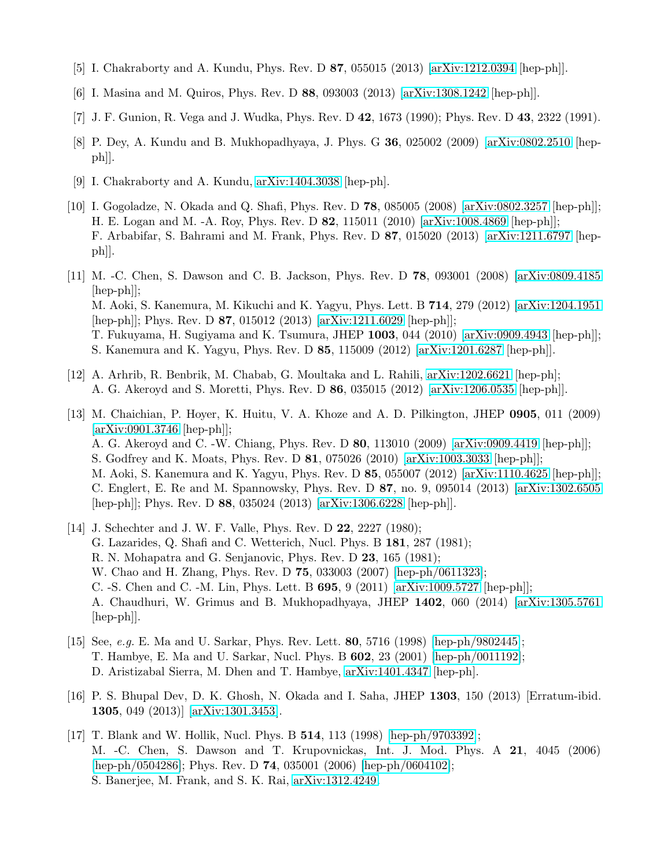- <span id="page-9-1"></span><span id="page-9-0"></span>[5] I. Chakraborty and A. Kundu, Phys. Rev. D 87, 055015 (2013) [\[arXiv:1212.0394](http://arxiv.org/abs/1212.0394) [hep-ph]].
- <span id="page-9-2"></span>[6] I. Masina and M. Quiros, Phys. Rev. D 88, 093003 (2013) [\[arXiv:1308.1242](http://arxiv.org/abs/1308.1242) [hep-ph]].
- <span id="page-9-3"></span>[7] J. F. Gunion, R. Vega and J. Wudka, Phys. Rev. D 42, 1673 (1990); Phys. Rev. D 43, 2322 (1991).
- <span id="page-9-4"></span>[8] P. Dey, A. Kundu and B. Mukhopadhyaya, J. Phys. G 36, 025002 (2009) [\[arXiv:0802.2510](http://arxiv.org/abs/0802.2510) [hepph]].
- <span id="page-9-5"></span>[9] I. Chakraborty and A. Kundu, [arXiv:1404.3038](http://arxiv.org/abs/1404.3038) [hep-ph].
- [10] I. Gogoladze, N. Okada and Q. Shafi, Phys. Rev. D 78, 085005 (2008) [\[arXiv:0802.3257](http://arxiv.org/abs/0802.3257) [hep-ph]]; H. E. Logan and M. -A. Roy, Phys. Rev. D 82, 115011 (2010) [\[arXiv:1008.4869](http://arxiv.org/abs/1008.4869) [hep-ph]]; F. Arbabifar, S. Bahrami and M. Frank, Phys. Rev. D 87, 015020 (2013) [\[arXiv:1211.6797](http://arxiv.org/abs/1211.6797) [hepph]].
- <span id="page-9-6"></span>[11] M. -C. Chen, S. Dawson and C. B. Jackson, Phys. Rev. D 78, 093001 (2008) [\[arXiv:0809.4185](http://arxiv.org/abs/0809.4185) [hep-ph]]; M. Aoki, S. Kanemura, M. Kikuchi and K. Yagyu, Phys. Lett. B 714, 279 (2012) [\[arXiv:1204.1951](http://arxiv.org/abs/1204.1951) [hep-ph]]; Phys. Rev. D 87, 015012 (2013) [\[arXiv:1211.6029](http://arxiv.org/abs/1211.6029) [hep-ph]]; T. Fukuyama, H. Sugiyama and K. Tsumura, JHEP 1003, 044 (2010) [\[arXiv:0909.4943](http://arxiv.org/abs/0909.4943) [hep-ph]]; S. Kanemura and K. Yagyu, Phys. Rev. D 85, 115009 (2012) [\[arXiv:1201.6287](http://arxiv.org/abs/1201.6287) [hep-ph]].
- <span id="page-9-7"></span>[12] A. Arhrib, R. Benbrik, M. Chabab, G. Moultaka and L. Rahili, [arXiv:1202.6621](http://arxiv.org/abs/1202.6621) [hep-ph]; A. G. Akeroyd and S. Moretti, Phys. Rev. D 86, 035015 (2012) [\[arXiv:1206.0535](http://arxiv.org/abs/1206.0535) [hep-ph]].
- <span id="page-9-8"></span>[13] M. Chaichian, P. Hoyer, K. Huitu, V. A. Khoze and A. D. Pilkington, JHEP 0905, 011 (2009) [\[arXiv:0901.3746](http://arxiv.org/abs/0901.3746) [hep-ph]]; A. G. Akeroyd and C. -W. Chiang, Phys. Rev. D 80, 113010 (2009) [\[arXiv:0909.4419](http://arxiv.org/abs/0909.4419) [hep-ph]]; S. Godfrey and K. Moats, Phys. Rev. D 81, 075026 (2010) [\[arXiv:1003.3033](http://arxiv.org/abs/1003.3033) [hep-ph]]; M. Aoki, S. Kanemura and K. Yagyu, Phys. Rev. D 85, 055007 (2012) [\[arXiv:1110.4625](http://arxiv.org/abs/1110.4625) [hep-ph]]; C. Englert, E. Re and M. Spannowsky, Phys. Rev. D 87, no. 9, 095014 (2013) [\[arXiv:1302.6505](http://arxiv.org/abs/1302.6505) [hep-ph]]; Phys. Rev. D 88, 035024 (2013) [\[arXiv:1306.6228](http://arxiv.org/abs/1306.6228) [hep-ph]].
- <span id="page-9-9"></span>[14] J. Schechter and J. W. F. Valle, Phys. Rev. D **22**, 2227 (1980); G. Lazarides, Q. Shafi and C. Wetterich, Nucl. Phys. B 181, 287 (1981); R. N. Mohapatra and G. Senjanovic, Phys. Rev. D 23, 165 (1981); W. Chao and H. Zhang, Phys. Rev. D 75, 033003 (2007) [\[hep-ph/0611323\]](http://arxiv.org/abs/hep-ph/0611323); C. -S. Chen and C. -M. Lin, Phys. Lett. B 695, 9 (2011) [\[arXiv:1009.5727](http://arxiv.org/abs/1009.5727) [hep-ph]]; A. Chaudhuri, W. Grimus and B. Mukhopadhyaya, JHEP 1402, 060 (2014) [\[arXiv:1305.5761](http://arxiv.org/abs/1305.5761) [hep-ph]].
- <span id="page-9-10"></span>[15] See, e.g. E. Ma and U. Sarkar, Phys. Rev. Lett. 80, 5716 (1998) [\[hep-ph/9802445\]](http://arxiv.org/abs/hep-ph/9802445); T. Hambye, E. Ma and U. Sarkar, Nucl. Phys. B 602, 23 (2001) [\[hep-ph/0011192\]](http://arxiv.org/abs/hep-ph/0011192); D. Aristizabal Sierra, M. Dhen and T. Hambye, [arXiv:1401.4347](http://arxiv.org/abs/1401.4347) [hep-ph].
- <span id="page-9-11"></span>[16] P. S. Bhupal Dev, D. K. Ghosh, N. Okada and I. Saha, JHEP 1303, 150 (2013) [Erratum-ibid. 1305, 049 (2013)] [\[arXiv:1301.3453\]](http://arxiv.org/abs/1301.3453).
- <span id="page-9-12"></span>[17] T. Blank and W. Hollik, Nucl. Phys. B 514, 113 (1998) [\[hep-ph/9703392\]](http://arxiv.org/abs/hep-ph/9703392); M. -C. Chen, S. Dawson and T. Krupovnickas, Int. J. Mod. Phys. A 21, 4045 (2006) [\[hep-ph/0504286\]](http://arxiv.org/abs/hep-ph/0504286); Phys. Rev. D **74**, 035001 (2006) [\[hep-ph/0604102\]](http://arxiv.org/abs/hep-ph/0604102); S. Banerjee, M. Frank, and S. K. Rai, [arXiv:1312.4249.](http://arxiv.org/abs/1312.4249)